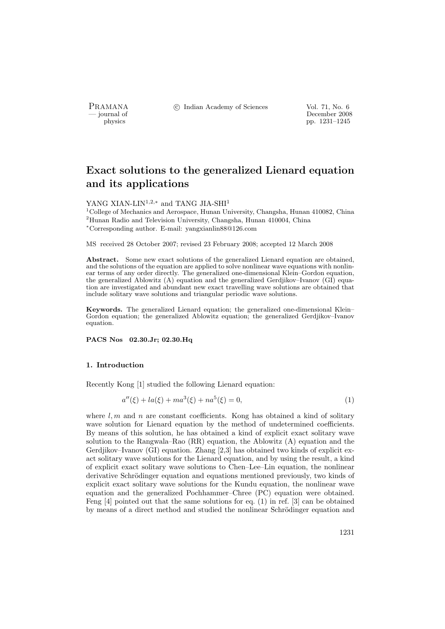PRAMANA <sup>C</sup> Indian Academy of Sciences Vol. 71, No. 6<br>
— iournal of December 2008

physics<br>
and the physics<br>  $\frac{1231-1245}{p}$ pp. 1231–1245

# Exact solutions to the generalized Lienard equation and its applications

YANG XIAN-LIN<sup>1,2,∗</sup> and TANG JIA-SHI<sup>1</sup>

<sup>1</sup>College of Mechanics and Aerospace, Hunan University, Changsha, Hunan 410082, China <sup>2</sup>Hunan Radio and Television University, Changsha, Hunan 410004, China <sup>∗</sup>Corresponding author. E-mail: yangxianlin88@126.com

MS received 28 October 2007; revised 23 February 2008; accepted 12 March 2008

Abstract. Some new exact solutions of the generalized Lienard equation are obtained, and the solutions of the equation are applied to solve nonlinear wave equations with nonlinear terms of any order directly. The generalized one-dimensional Klein–Gordon equation, the generalized Ablowitz (A) equation and the generalized Gerdjikov–Ivanov (GI) equation are investigated and abundant new exact travelling wave solutions are obtained that include solitary wave solutions and triangular periodic wave solutions.

Keywords. The generalized Lienard equation; the generalized one-dimensional Klein– Gordon equation; the generalized Ablowitz equation; the generalized Gerdjikov–Ivanov equation.

PACS Nos 02.30.Jr; 02.30.Hq

## 1. Introduction

Recently Kong [1] studied the following Lienard equation:

$$
a''(\xi) + la(\xi) + ma^3(\xi) + na^5(\xi) = 0,
$$
\n(1)

where  $l, m$  and n are constant coefficients. Kong has obtained a kind of solitary wave solution for Lienard equation by the method of undetermined coefficients. By means of this solution, he has obtained a kind of explicit exact solitary wave solution to the Rangwala–Rao (RR) equation, the Ablowitz (A) equation and the Gerdjikov–Ivanov (GI) equation. Zhang [2,3] has obtained two kinds of explicit exact solitary wave solutions for the Lienard equation, and by using the result, a kind of explicit exact solitary wave solutions to Chen–Lee–Lin equation, the nonlinear derivative Schrödinger equation and equations mentioned previously, two kinds of explicit exact solitary wave solutions for the Kundu equation, the nonlinear wave equation and the generalized Pochhammer–Chree (PC) equation were obtained. Feng [4] pointed out that the same solutions for eq. (1) in ref. [3] can be obtained by means of a direct method and studied the nonlinear Schrödinger equation and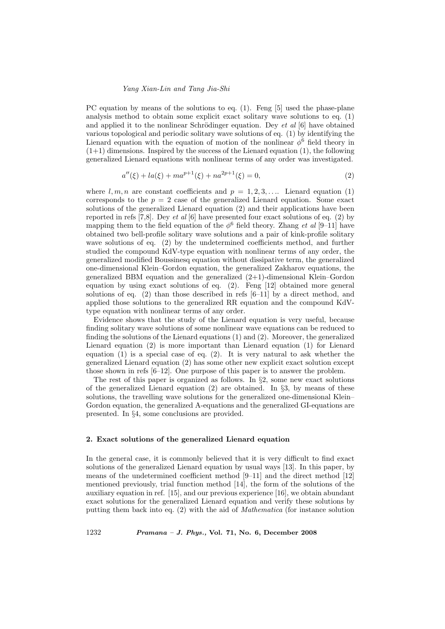PC equation by means of the solutions to eq. (1). Feng [5] used the phase-plane analysis method to obtain some explicit exact solitary wave solutions to eq. (1) and applied it to the nonlinear Schrödinger equation. Dey  $et \ al \ [6]$  have obtained various topological and periodic solitary wave solutions of eq. (1) by identifying the Lienard equation with the equation of motion of the nonlinear  $\phi^6$  field theory in  $(1+1)$  dimensions. Inspired by the success of the Lienard equation (1), the following generalized Lienard equations with nonlinear terms of any order was investigated.

$$
a''(\xi) + la(\xi) + ma^{p+1}(\xi) + na^{2p+1}(\xi) = 0,
$$
\n(2)

where  $l, m, n$  are constant coefficients and  $p = 1, 2, 3, \ldots$  Lienard equation (1) corresponds to the  $p = 2$  case of the generalized Lienard equation. Some exact solutions of the generalized Lienard equation (2) and their applications have been reported in refs [7,8]. Dey *et al* [6] have presented four exact solutions of eq. (2) by mapping them to the field equation of the  $\phi^6$  field theory. Zhang *et al* [9–11] have obtained two bell-profile solitary wave solutions and a pair of kink-profile solitary wave solutions of eq. (2) by the undetermined coefficients method, and further studied the compound KdV-type equation with nonlinear terms of any order, the generalized modified Boussinesq equation without dissipative term, the generalized one-dimensional Klein–Gordon equation, the generalized Zakharov equations, the generalized BBM equation and the generalized (2+1)-dimensional Klein–Gordon equation by using exact solutions of eq. (2). Feng [12] obtained more general solutions of eq. (2) than those described in refs [6–11] by a direct method, and applied those solutions to the generalized RR equation and the compound KdVtype equation with nonlinear terms of any order.

Evidence shows that the study of the Lienard equation is very useful, because finding solitary wave solutions of some nonlinear wave equations can be reduced to finding the solutions of the Lienard equations (1) and (2). Moreover, the generalized Lienard equation (2) is more important than Lienard equation (1) for Lienard equation  $(1)$  is a special case of eq.  $(2)$ . It is very natural to ask whether the generalized Lienard equation (2) has some other new explicit exact solution except those shown in refs [6–12]. One purpose of this paper is to answer the problem.

The rest of this paper is organized as follows. In  $\S 2$ , some new exact solutions of the generalized Lienard equation (2) are obtained. In §3, by means of these solutions, the travelling wave solutions for the generalized one-dimensional Klein– Gordon equation, the generalized A-equations and the generalized GI-equations are presented. In §4, some conclusions are provided.

#### 2. Exact solutions of the generalized Lienard equation

In the general case, it is commonly believed that it is very difficult to find exact solutions of the generalized Lienard equation by usual ways [13]. In this paper, by means of the undetermined coefficient method [9–11] and the direct method [12] mentioned previously, trial function method [14], the form of the solutions of the auxiliary equation in ref. [15], and our previous experience [16], we obtain abundant exact solutions for the generalized Lienard equation and verify these solutions by putting them back into eq. (2) with the aid of Mathematica (for instance solution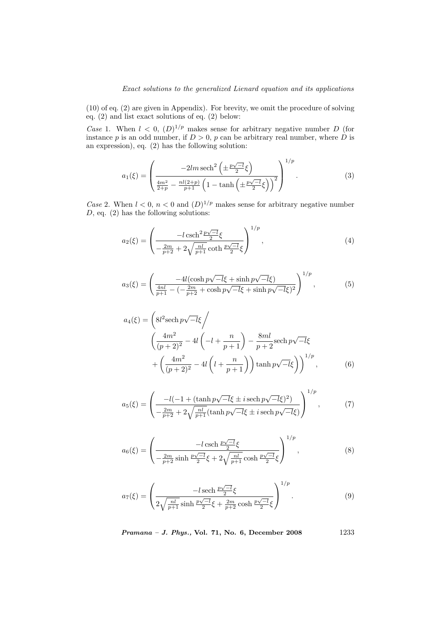(10) of eq. (2) are given in Appendix). For brevity, we omit the procedure of solving eq. (2) and list exact solutions of eq. (2) below:

Case 1. When  $l < 0$ ,  $(D)^{1/p}$  makes sense for arbitrary negative number D (for instance p is an odd number, if  $D > 0$ , p can be arbitrary real number, where  $\hat{D}$  is an expression), eq. (2) has the following solution:

$$
a_1(\xi) = \left(\frac{-2lm \operatorname{sech}^2\left(\pm \frac{p\sqrt{-l}}{2}\xi\right)}{\frac{4m^2}{2+p} - \frac{nl(2+p)}{p+1}\left(1 - \tanh\left(\pm \frac{p\sqrt{-l}}{2}\xi\right)\right)^2}\right)^{1/p}.
$$
 (3)

Case 2. When  $l < 0$ ,  $n < 0$  and  $(D)^{1/p}$  makes sense for arbitrary negative number  $D$ , eq.  $(2)$  has the following solutions:

$$
a_2(\xi) = \left(\frac{-l \cosh^2 \frac{p\sqrt{-l}}{2}\xi}{-\frac{2m}{p+2} + 2\sqrt{\frac{nl}{p+1}} \coth \frac{p\sqrt{-l}}{2}\xi}\right)^{1/p},\tag{4}
$$

$$
a_3(\xi) = \left(\frac{-4l(\cosh p\sqrt{-l}\xi + \sinh p\sqrt{-l}\xi)}{\frac{4nl}{p+1} - (-\frac{2m}{p+2} + \cosh p\sqrt{-l}\xi + \sinh p\sqrt{-l}\xi)^2}\right)^{1/p},\tag{5}
$$

$$
a_4(\xi) = \left( 8l^2 \operatorname{sech} p \sqrt{-l} \xi \right)
$$
  

$$
\left( \frac{4m^2}{(p+2)^2} - 4l \left( -l + \frac{n}{p+1} \right) - \frac{8ml}{p+2} \operatorname{sech} p \sqrt{-l} \xi
$$
  

$$
+ \left( \frac{4m^2}{(p+2)^2} - 4l \left( l + \frac{n}{p+1} \right) \right) \tanh p \sqrt{-l} \xi \right)^{1/p}, \tag{6}
$$

$$
a_5(\xi) = \left( \frac{-l(-1 + (\tanh p\sqrt{-l}\xi \pm i \operatorname{sech} p\sqrt{-l}\xi)^2)}{-\frac{2m}{p+2} + 2\sqrt{\frac{nl}{p+1}}(\tanh p\sqrt{-l}\xi \pm i \operatorname{sech} p\sqrt{-l}\xi)} \right)^{1/p},\tag{7}
$$

$$
a_6(\xi) = \left(\frac{-l \operatorname{csch} \frac{p\sqrt{-l}}{2}\xi}{-\frac{2m}{p+2}\sinh\frac{p\sqrt{-l}}{2}\xi + 2\sqrt{\frac{nl}{p+1}}\cosh\frac{p\sqrt{-l}}{2}\xi}\right)^{1/p},\tag{8}
$$

$$
a_7(\xi) = \left(\frac{-l \text{ sech } \frac{p\sqrt{-l}}{2}\xi}{2\sqrt{\frac{nl}{p+1}} \sinh \frac{p\sqrt{-l}}{2}\xi + \frac{2m}{p+2} \cosh \frac{p\sqrt{-l}}{2}\xi}\right)^{1/p}.
$$
 (9)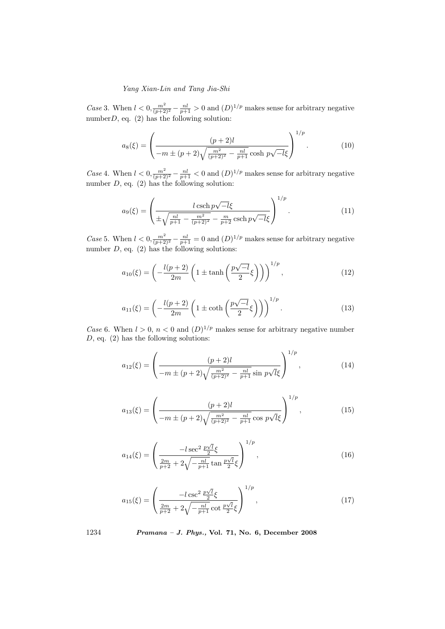Case 3. When  $l < 0$ ,  $\frac{m^2}{(p+2)^2} - \frac{nl}{p+1} > 0$  and  $(D)^{1/p}$  makes sense for arbitrary negative number  $D$ , eq. (2) has the following solution:

$$
a_8(\xi) = \left(\frac{(p+2)l}{-m \pm (p+2)\sqrt{\frac{m^2}{(p+2)^2} - \frac{nl}{p+1}}\cosh p\sqrt{-l}\xi}\right)^{1/p}.
$$
 (10)

Case 4. When  $l < 0$ ,  $\frac{m^2}{(p+2)^2} - \frac{nl}{p+1} < 0$  and  $(D)^{1/p}$  makes sense for arbitrary negative number  $D$ , eq.  $(2)$  has the following solution:

$$
a_9(\xi) = \left(\frac{l \cosh p \sqrt{-l} \xi}{\pm \sqrt{\frac{nl}{p+1} - \frac{m^2}{(p+2)^2}} - \frac{m}{p+2} \operatorname{csch} p \sqrt{-l} \xi}\right)^{1/p}.
$$
 (11)

Case 5. When  $l < 0$ ,  $\frac{m^2}{(p+2)^2} - \frac{nl}{p+1} = 0$  and  $(D)^{1/p}$  makes sense for arbitrary negative number  $D$ , eq.  $(2)$  has the following solutions:

$$
a_{10}(\xi) = \left(-\frac{l(p+2)}{2m}\left(1 \pm \tanh\left(\frac{p\sqrt{-l}}{2}\xi\right)\right)\right)^{1/p},\tag{12}
$$

$$
a_{11}(\xi) = \left(-\frac{l(p+2)}{2m}\left(1 \pm \coth\left(\frac{p\sqrt{-l}}{2}\xi\right)\right)\right)^{1/p}.\tag{13}
$$

Case 6. When  $l > 0$ ,  $n < 0$  and  $(D)^{1/p}$  makes sense for arbitrary negative number  $D$ , eq.  $(2)$  has the following solutions:

$$
a_{12}(\xi) = \left(\frac{(p+2)l}{-m \pm (p+2)\sqrt{\frac{m^2}{(p+2)^2} - \frac{nl}{p+1}}}\sin p\sqrt{l}\xi\right)^{1/p},\tag{14}
$$

$$
a_{13}(\xi) = \left(\frac{(p+2)l}{-m \pm (p+2)\sqrt{\frac{m^2}{(p+2)^2} - \frac{nl}{p+1}}}\cos\,p\sqrt{l}\xi\right)^{1/p},\tag{15}
$$

$$
a_{14}(\xi) = \left(\frac{-l \sec^2 \frac{p\sqrt{l}}{2}\xi}{\frac{2m}{p+2} + 2\sqrt{-\frac{n}{p+1}}\tan\frac{p\sqrt{l}}{2}\xi}\right)^{1/p},\tag{16}
$$

$$
a_{15}(\xi) = \left(\frac{-l\csc^2\frac{p\sqrt{l}}{2}\xi}{\frac{2m}{p+2} + 2\sqrt{-\frac{nl}{p+1}}\cot\frac{p\sqrt{l}}{2}\xi}\right)^{1/p},\tag{17}
$$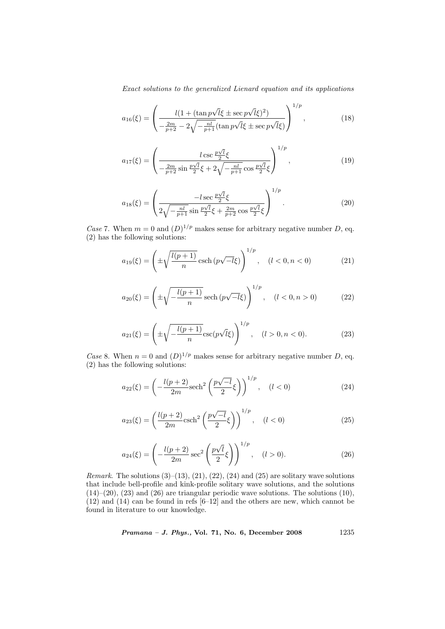$$
a_{16}(\xi) = \left(\frac{l(1 + (\tan p\sqrt{l}\xi \pm \sec p\sqrt{l}\xi)^2)}{-\frac{2m}{p+2} - 2\sqrt{-\frac{nl}{p+1}}(\tan p\sqrt{l}\xi \pm \sec p\sqrt{l}\xi)}\right)^{1/p},
$$
(18)

$$
a_{17}(\xi) = \left(\frac{l \csc \frac{p\sqrt{l}}{2}\xi}{-\frac{2m}{p+2}\sin \frac{p\sqrt{l}}{2}\xi + 2\sqrt{-\frac{nl}{p+1}}\cos \frac{p\sqrt{l}}{2}\xi}\right)^{1/p},\tag{19}
$$

$$
a_{18}(\xi) = \left(\frac{-l \sec \frac{p\sqrt{l}}{2}\xi}{2\sqrt{-\frac{nl}{p+1}} \sin \frac{p\sqrt{l}}{2}\xi + \frac{2m}{p+2} \cos \frac{p\sqrt{l}}{2}\xi}\right)^{1/p}.
$$
 (20)

Case 7. When  $m = 0$  and  $(D)^{1/p}$  makes sense for arbitrary negative number D, eq. (2) has the following solutions:

$$
a_{19}(\xi) = \left(\pm \sqrt{\frac{l(p+1)}{n}} \operatorname{csch}\left(p\sqrt{-l}\xi\right)\right)^{1/p}, \quad (l < 0, n < 0) \tag{21}
$$

$$
a_{20}(\xi) = \left(\pm \sqrt{-\frac{l(p+1)}{n}} \operatorname{sech}\left(p\sqrt{-l}\xi\right)\right)^{1/p}, \quad (l < 0, n > 0) \tag{22}
$$

$$
a_{21}(\xi) = \left(\pm \sqrt{-\frac{l(p+1)}{n}} \csc(p\sqrt{l}\xi)\right)^{1/p}, \quad (l > 0, n < 0). \tag{23}
$$

Case 8. When  $n = 0$  and  $(D)^{1/p}$  makes sense for arbitrary negative number D, eq. (2) has the following solutions:

$$
a_{22}(\xi) = \left(-\frac{l(p+2)}{2m}\text{sech}^2\left(\frac{p\sqrt{-l}}{2}\xi\right)\right)^{1/p}, \quad (l < 0)
$$
 (24)

$$
a_{23}(\xi) = \left(\frac{l(p+2)}{2m}\text{csch}^2\left(\frac{p\sqrt{-l}}{2}\xi\right)\right)^{1/p}, \quad (l < 0)
$$
 (25)

$$
a_{24}(\xi) = \left(-\frac{l(p+2)}{2m}\sec^2\left(\frac{p\sqrt{l}}{2}\xi\right)\right)^{1/p}, \quad (l > 0). \tag{26}
$$

*Remark.* The solutions  $(3)$ – $(13)$ ,  $(21)$ ,  $(22)$ ,  $(24)$  and  $(25)$  are solitary wave solutions that include bell-profile and kink-profile solitary wave solutions, and the solutions  $(14)$ – $(20)$ ,  $(23)$  and  $(26)$  are triangular periodic wave solutions. The solutions  $(10)$ , (12) and (14) can be found in refs [6–12] and the others are new, which cannot be found in literature to our knowledge.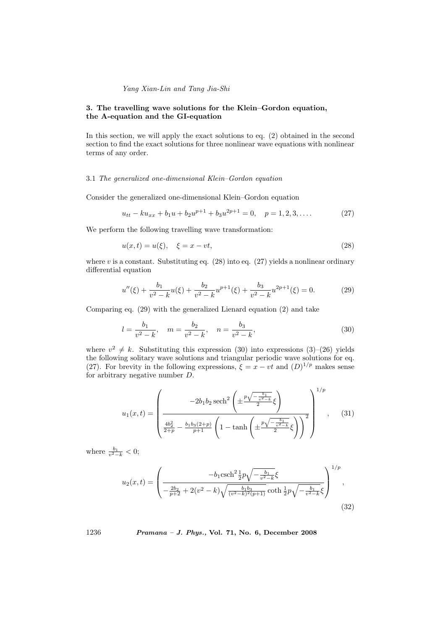# 3. The travelling wave solutions for the Klein–Gordon equation, the A-equation and the GI-equation

In this section, we will apply the exact solutions to eq. (2) obtained in the second section to find the exact solutions for three nonlinear wave equations with nonlinear terms of any order.

## 3.1 The generalized one-dimensional Klein–Gordon equation

Consider the generalized one-dimensional Klein–Gordon equation

$$
u_{tt} - ku_{xx} + b_1 u + b_2 u^{p+1} + b_3 u^{2p+1} = 0, \quad p = 1, 2, 3, \dots
$$
 (27)

We perform the following travelling wave transformation:

$$
u(x,t) = u(\xi), \quad \xi = x - vt,\tag{28}
$$

where v is a constant. Substituting eq.  $(28)$  into eq.  $(27)$  yields a nonlinear ordinary differential equation

$$
u''(\xi) + \frac{b_1}{v^2 - k}u(\xi) + \frac{b_2}{v^2 - k}u^{p+1}(\xi) + \frac{b_3}{v^2 - k}u^{2p+1}(\xi) = 0.
$$
 (29)

Comparing eq. (29) with the generalized Lienard equation (2) and take

$$
l = \frac{b_1}{v^2 - k}, \quad m = \frac{b_2}{v^2 - k}, \quad n = \frac{b_3}{v^2 - k}, \tag{30}
$$

where  $v^2 \neq k$ . Substituting this expression (30) into expressions (3)–(26) yields the following solitary wave solutions and triangular periodic wave solutions for eq. (27). For brevity in the following expressions,  $\xi = x - vt$  and  $(D)^{1/p}$  makes sense for arbitrary negative number D.

$$
u_1(x,t) = \left(\frac{-2b_1b_2 \operatorname{sech}^2\left(\pm \frac{p\sqrt{-\frac{b_1}{v^2-k}}}{2}\xi\right)}{\frac{4b_2^2}{2+p} - \frac{b_1b_3(2+p)}{p+1}\left(1 - \tanh\left(\pm \frac{p\sqrt{-\frac{b_1}{v^2-k}}}{2}\xi\right)\right)^2}\right)^{1/p}, \quad (31)
$$

where  $\frac{b_1}{v^2-k} < 0$ ;

$$
u_2(x,t) = \left(\frac{-b_1 \operatorname{csch}^2 \frac{1}{2} p \sqrt{-\frac{b_1}{v^2 - k}} \xi}{-\frac{2b_2}{p+2} + 2(v^2 - k) \sqrt{\frac{b_1 b_3}{(v^2 - k)^2 (p+1)}} \coth \frac{1}{2} p \sqrt{-\frac{b_1}{v^2 - k}} \xi}\right)^{1/p},\tag{32}
$$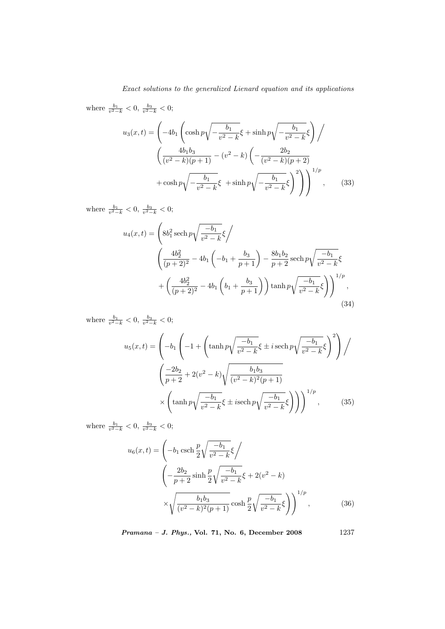where  $\frac{b_1}{v^2-k} < 0$ ,  $\frac{b_3}{v^2-k} < 0$ ;

$$
u_3(x,t) = \left(-4b_1 \left(\cosh p \sqrt{-\frac{b_1}{v^2 - k}} \xi + \sinh p \sqrt{-\frac{b_1}{v^2 - k}} \xi\right)\right)
$$

$$
\left(\frac{4b_1b_3}{(v^2 - k)(p + 1)} - (v^2 - k) \left(-\frac{2b_2}{(v^2 - k)(p + 2)}\right) + \cosh p \sqrt{-\frac{b_1}{v^2 - k}} \xi + \sinh p \sqrt{-\frac{b_1}{v^2 - k}} \xi\right)^2\right)^{1/p}, \qquad (33)
$$

where  $\frac{b_1}{v^2-k} < 0$ ,  $\frac{b_3}{v^2-k} < 0$ ;

$$
u_4(x,t) = \left(8b_1^2 \operatorname{sech} p \sqrt{\frac{-b_1}{v^2 - k}} \xi \right)
$$
  

$$
\left(\frac{4b_2^2}{(p+2)^2} - 4b_1 \left(-b_1 + \frac{b_3}{p+1}\right) - \frac{8b_1b_2}{p+2} \operatorname{sech} p \sqrt{\frac{-b_1}{v^2 - k}} \xi
$$
  

$$
+ \left(\frac{4b_2^2}{(p+2)^2} - 4b_1 \left(b_1 + \frac{b_3}{p+1}\right)\right) \tanh p \sqrt{\frac{-b_1}{v^2 - k}} \xi
$$
 (34)

where  $\frac{b_1}{v^2-k} < 0$ ,  $\frac{b_3}{v^2-k} < 0$ ;

$$
u_5(x,t) = \left(-b_1 \left(-1 + \left(\tanh p \sqrt{\frac{-b_1}{v^2 - k}} \xi \pm i \operatorname{sech} p \sqrt{\frac{-b_1}{v^2 - k}} \xi\right)^2\right)\right)
$$

$$
\left(\frac{-2b_2}{p+2} + 2(v^2 - k) \sqrt{\frac{b_1 b_3}{(v^2 - k)^2 (p+1)}}\right)
$$

$$
\times \left(\tanh p \sqrt{\frac{-b_1}{v^2 - k}} \xi \pm i \operatorname{sech} p \sqrt{\frac{-b_1}{v^2 - k}} \xi\right)\right)^{1/p}, \qquad (35)
$$

where  $\frac{b_1}{v^2-k} < 0$ ,  $\frac{b_3}{v^2-k} < 0$ ;

$$
u_6(x,t) = \left(-b_1 \operatorname{csch} \frac{p}{2} \sqrt{\frac{-b_1}{v^2 - k}} \xi\right)
$$
  

$$
\left(-\frac{2b_2}{p+2} \sinh \frac{p}{2} \sqrt{\frac{-b_1}{v^2 - k}} \xi + 2(v^2 - k)\right)
$$
  

$$
\times \sqrt{\frac{b_1 b_3}{(v^2 - k)^2 (p+1)}} \cosh \frac{p}{2} \sqrt{\frac{-b_1}{v^2 - k}} \xi\right)^{1/p},
$$
 (36)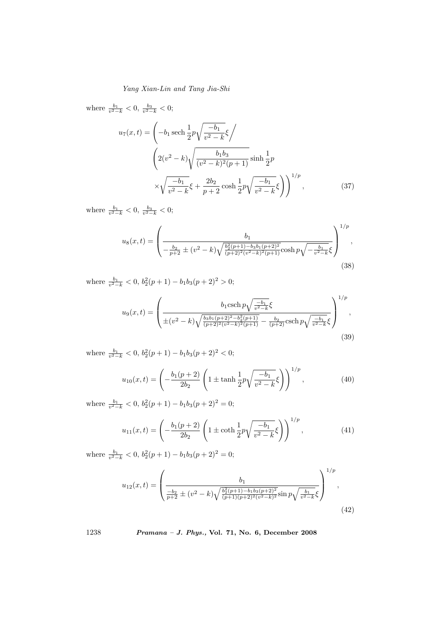where  $\frac{b_1}{v^2-k} < 0$ ,  $\frac{b_3}{v^2-k} < 0$ ;  $u_7(x,t) = \left(-b_1 \operatorname{sech} \frac{1}{2}p\right)$ r  $-b<sub>1</sub>$  $\frac{v_1}{v^2-k}\xi$  $\overline{\phantom{a}}$  $\frac{1}{2}$  $2(v^2 - k)$ s  $b_1b_3$  $\frac{b_1b_3}{(v^2-k)^2(p+1)}\sinh\frac{1}{2}p$ × r  $-b<sub>1</sub>$  $\frac{-b_1}{v^2 - k} \xi + \frac{2b_2}{p + k}$  $\frac{2b_2}{p+2}\cosh\frac{1}{2}p$ r  $-b<sub>1</sub>$  $\frac{v_1}{v^2-k}\xi$  $\sqrt{1/p}$  $(37)$ 

where  $\frac{b_1}{v^2-k} < 0$ ,  $\frac{b_3}{v^2-k} < 0$ ;

$$
u_8(x,t) = \left(\frac{b_1}{-\frac{b_2}{p+2} \pm (v^2 - k)\sqrt{\frac{b_2^2(p+1) - b_3 b_1 (p+2)^2}{(p+2)^2 (v^2 - k)^2 (p+1)}}} \cosh p \sqrt{-\frac{b_1}{v^2 - k}} \xi\right)^{1/p},\tag{38}
$$

where  $\frac{b_1}{v^2-k} < 0$ ,  $b_2^2(p+1) - b_1b_3(p+2)^2 > 0$ ;

$$
u_9(x,t) = \left(\frac{b_1 \operatorname{csch} p \sqrt{\frac{-b_1}{v^2 - k}} \xi}{\pm (v^2 - k) \sqrt{\frac{b_3 b_1 (p+2)^2 - b_2^2 (p+1)}{(p+2)^2 (v^2 - k)^2 (p+1)}} - \frac{b_2}{(p+2)} \operatorname{csch} p \sqrt{\frac{-b_1}{v^2 - k}} \xi}\right)^{1/p},\tag{39}
$$

where  $\frac{b_1}{v^2-k} < 0$ ,  $b_2^2(p+1) - b_1b_3(p+2)^2 < 0$ ;

$$
u_{10}(x,t) = \left(-\frac{b_1(p+2)}{2b_2}\left(1 \pm \tanh\frac{1}{2}p\sqrt{\frac{-b_1}{v^2 - k}}\xi\right)\right)^{1/p},\tag{40}
$$

where  $\frac{b_1}{v^2-k} < 0$ ,  $b_2^2(p+1) - b_1b_3(p+2)^2 = 0$ ;

$$
u_{11}(x,t) = \left(-\frac{b_1(p+2)}{2b_2}\left(1 \pm \coth\frac{1}{2}p\sqrt{\frac{-b_1}{v^2 - k}}\xi\right)\right)^{1/p},\tag{41}
$$

where  $\frac{b_1}{v^2-k} < 0$ ,  $b_2^2(p+1) - b_1b_3(p+2)^2 = 0$ ;

$$
u_{12}(x,t) = \left(\frac{b_1}{\frac{-b_2}{p+2} \pm (v^2 - k)\sqrt{\frac{b_2^2(p+1) - b_1b_3(p+2)^2}{(p+1)(p+2)^2(v^2-k)^2}}}\sin p\sqrt{\frac{b_1}{v^2-k}}\xi\right)^{1/p},\tag{42}
$$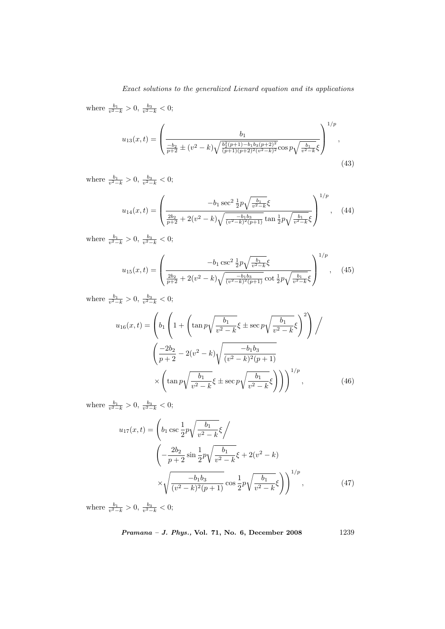where  $\frac{b_1}{v^2-k} > 0$ ,  $\frac{b_3}{v^2-k} < 0$ ;  $\overline{\phantom{a}}$ 

$$
u_{13}(x,t) = \left(\frac{b_1}{\frac{-b_2}{p+2} \pm (v^2 - k)\sqrt{\frac{b_2^2(p+1) - b_1b_3(p+2)^2}{(p+1)(p+2)^2(v^2-k)^2}}\cos p\sqrt{\frac{b_1}{v^2-k}}\xi\right)^{1/p},\tag{43}
$$

where  $\frac{b_1}{v^2-k} > 0$ ,  $\frac{b_3}{v^2-k} < 0$ ;

$$
u_{14}(x,t) = \left(\frac{-b_1 \sec^2 \frac{1}{2} p \sqrt{\frac{b_1}{v^2 - k}} \xi}{\frac{2b_2}{p + 2} + 2(v^2 - k) \sqrt{\frac{-b_1 b_3}{(v^2 - k)^2 (p + 1)}} \tan \frac{1}{2} p \sqrt{\frac{b_1}{v^2 - k}} \xi}\right)^{1/p}, \quad (44)
$$

where  $\frac{b_1}{v^2-k} > 0$ ,  $\frac{b_3}{v^2-k} < 0$ ;

$$
u_{15}(x,t) = \left(\frac{-b_1 \csc^2 \frac{1}{2} p \sqrt{\frac{b_1}{v^2 - k}} \xi}{\frac{2b_2}{p+2} + 2(v^2 - k) \sqrt{\frac{-b_1 b_3}{(v^2 - k)^2 (p+1)}} \cot \frac{1}{2} p \sqrt{\frac{b_1}{v^2 - k}} \xi}\right)^{1/p}, \quad (45)
$$

where  $\frac{b_1}{v^2-k} > 0$ ,  $\frac{b_3}{v^2-k} < 0$ ;

$$
u_{16}(x,t) = \left(b_1 \left(1 + \left(\tan p \sqrt{\frac{b_1}{v^2 - k}} \xi \pm \sec p \sqrt{\frac{b_1}{v^2 - k}} \xi\right)^2\right)\right)
$$

$$
\left(\frac{-2b_2}{p+2} - 2(v^2 - k) \sqrt{\frac{-b_1b_3}{(v^2 - k)^2(p+1)}}\right)
$$

$$
\times \left(\tan p \sqrt{\frac{b_1}{v^2 - k}} \xi \pm \sec p \sqrt{\frac{b_1}{v^2 - k}} \xi\right)\right)^{1/p}, \qquad (46)
$$

where  $\frac{b_1}{v^2-k} > 0$ ,  $\frac{b_3}{v^2-k} < 0$ ;

$$
u_{17}(x,t) = \left(b_1 \csc \frac{1}{2} p \sqrt{\frac{b_1}{v^2 - k}} \xi\right)
$$
  

$$
\left(-\frac{2b_2}{p+2} \sin \frac{1}{2} p \sqrt{\frac{b_1}{v^2 - k}} \xi + 2(v^2 - k)\right)
$$
  

$$
\times \sqrt{\frac{-b_1 b_3}{(v^2 - k)^2 (p+1)}} \cos \frac{1}{2} p \sqrt{\frac{b_1}{v^2 - k}} \xi\right)^{1/p}, \qquad (47)
$$

where  $\frac{b_1}{v^2-k} > 0$ ,  $\frac{b_3}{v^2-k} < 0$ ;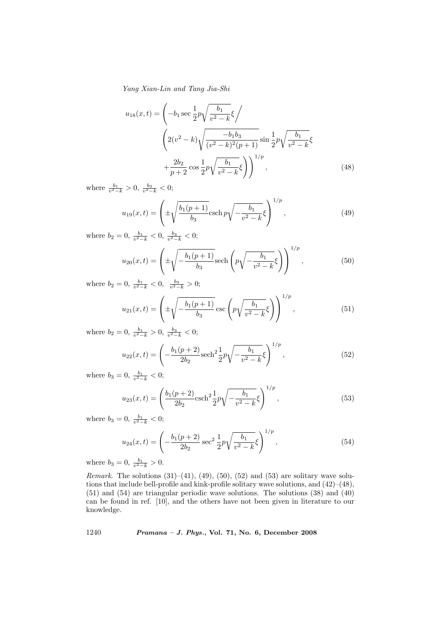$$
u_{18}(x,t) = \left(-b_1 \sec \frac{1}{2}p\sqrt{\frac{b_1}{v^2 - k}}\xi\right)
$$

$$
\left(2(v^2 - k)\sqrt{\frac{-b_1b_3}{(v^2 - k)^2(p+1)}}\sin \frac{1}{2}p\sqrt{\frac{b_1}{v^2 - k}}\xi
$$

$$
+\frac{2b_2}{p+2}\cos \frac{1}{2}p\sqrt{\frac{b_1}{v^2 - k}}\xi\right)^{1/p},
$$
(48)

where  $\frac{b_1}{v^2-k} > 0$ ,  $\frac{b_3}{v^2-k} < 0$ ;

$$
u_{19}(x,t) = \left(\pm \sqrt{\frac{b_1(p+1)}{b_3}} \operatorname{csch} p \sqrt{-\frac{b_1}{v^2 - k}} \xi\right)^{1/p},\tag{49}
$$

where  $b_2 = 0, \frac{b_1}{v^2 - k} < 0, \frac{b_3}{v^2 - k} < 0;$ 

$$
u_{20}(x,t) = \left(\pm \sqrt{-\frac{b_1(p+1)}{b_3}} \text{sech}\left(p\sqrt{-\frac{b_1}{v^2 - k}}\xi\right)\right)^{1/p},\tag{50}
$$

where  $b_2 = 0, \frac{b_1}{v^2 - k} < 0, \frac{b_3}{v^2 - k} > 0;$ 

$$
u_{21}(x,t) = \left(\pm \sqrt{-\frac{b_1(p+1)}{b_3}} \csc\left(p\sqrt{\frac{b_1}{v^2 - k}}\xi\right)\right)^{1/p},\tag{51}
$$

where  $b_2 = 0, \frac{b_1}{v^2 - k} > 0, \frac{b_3}{v^2 - k} < 0;$ 

$$
u_{22}(x,t) = \left(-\frac{b_1(p+2)}{2b_2}\mathrm{sech}^2\frac{1}{2}p\sqrt{-\frac{b_1}{v^2-k}}\xi\right)^{1/p},\tag{52}
$$

where  $b_3 = 0, \frac{b_1}{v^2 - k} < 0;$ 

$$
u_{23}(x,t) = \left(\frac{b_1(p+2)}{2b_2}\operatorname{csch}^2\frac{1}{2}p\sqrt{-\frac{b_1}{v^2-k}}\xi\right)^{1/p},\tag{53}
$$

where  $b_3 = 0, \frac{b_1}{v^2 - k} < 0;$ 

$$
u_{24}(x,t) = \left(-\frac{b_1(p+2)}{2b_2}\sec^2\frac{1}{2}p\sqrt{\frac{b_1}{v^2-k}}\xi\right)^{1/p},\tag{54}
$$

where  $b_3 = 0, \frac{b_1}{v^2 - k} > 0.$ 

*Remark.* The solutions  $(31)–(41)$ ,  $(49)$ ,  $(50)$ ,  $(52)$  and  $(53)$  are solitary wave solutions that include bell-profile and kink-profile solitary wave solutions, and (42)–(48), (51) and (54) are triangular periodic wave solutions. The solutions (38) and (40) can be found in ref. [10], and the others have not been given in literature to our knowledge.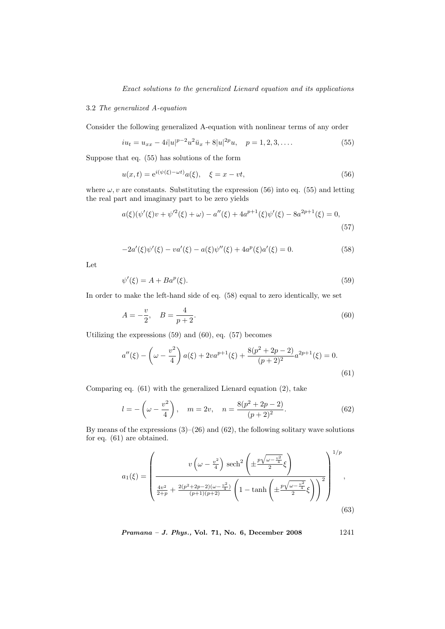# 3.2 The generalized A-equation

Consider the following generalized A-equation with nonlinear terms of any order

$$
iu_t = u_{xx} - 4i|u|^{p-2}u^2\bar{u}_x + 8|u|^{2p}u, \quad p = 1, 2, 3, .... \tag{55}
$$

Suppose that eq. (55) has solutions of the form

$$
u(x,t) = e^{i(\psi(\xi) - \omega t)} a(\xi), \quad \xi = x - vt,
$$
\n(56)

where  $\omega, v$  are constants. Substituting the expression (56) into eq. (55) and letting the real part and imaginary part to be zero yields

$$
a(\xi)(\psi'(\xi)v + \psi'^2(\xi) + \omega) - a''(\xi) + 4a^{p+1}(\xi)\psi'(\xi) - 8a^{2p+1}(\xi) = 0,
$$
\n(57)

$$
-2a'(\xi)\psi'(\xi) - va'(\xi) - a(\xi)\psi''(\xi) + 4a^p(\xi)a'(\xi) = 0.
$$
\n(58)

Let

$$
\psi'(\xi) = A + Ba^p(\xi). \tag{59}
$$

In order to make the left-hand side of eq. (58) equal to zero identically, we set

$$
A = -\frac{v}{2}, \quad B = \frac{4}{p+2}.
$$
\n(60)

Utilizing the expressions (59) and (60), eq. (57) becomes

$$
a''(\xi) - \left(\omega - \frac{v^2}{4}\right) a(\xi) + 2va^{p+1}(\xi) + \frac{8(p^2 + 2p - 2)}{(p+2)^2} a^{2p+1}(\xi) = 0.
$$
\n(61)

Comparing eq. (61) with the generalized Lienard equation (2), take

$$
l = -\left(\omega - \frac{v^2}{4}\right), \quad m = 2v, \quad n = \frac{8(p^2 + 2p - 2)}{(p + 2)^2}.
$$
 (62)

By means of the expressions  $(3)$ – $(26)$  and  $(62)$ , the following solitary wave solutions for eq. (61) are obtained.

$$
a_1(\xi) = \left(\frac{v\left(\omega - \frac{v^2}{4}\right) \operatorname{sech}^2\left(\pm \frac{p\sqrt{\omega - \frac{v^2}{4}}}{2}\xi\right)}{\frac{4v^2}{2+p} + \frac{2(p^2 + 2p - 2)(\omega - \frac{v^2}{4})}{(p+1)(p+2)}\left(1 - \tanh\left(\pm \frac{p\sqrt{\omega - \frac{v^2}{4}}}{2}\xi\right)\right)^2}\right)^{1/p},\tag{63}
$$

Pramana – J. Phys., Vol. 71, No. 6, December 2008 1241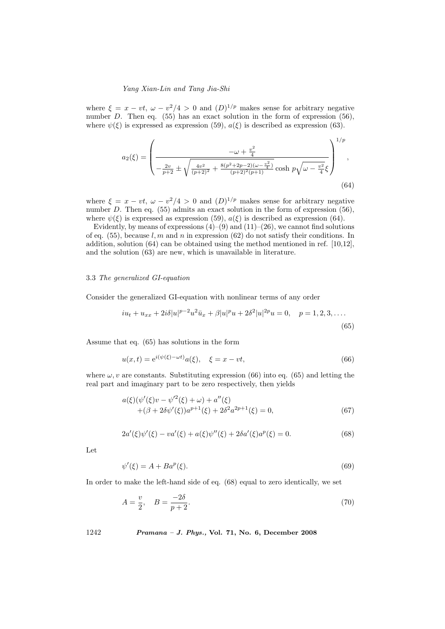where  $\xi = x - vt$ ,  $\omega - v^2/4 > 0$  and  $(D)^{1/p}$  makes sense for arbitrary negative number D. Then eq.  $(55)$  has an exact solution in the form of expression  $(56)$ , where  $\psi(\xi)$  is expressed as expression (59),  $a(\xi)$  is described as expression (63).

$$
a_2(\xi) = \left(\frac{-\omega + \frac{v^2}{4}}{-\frac{2v}{p+2} \pm \sqrt{\frac{4v^2}{(p+2)^2} + \frac{8(p^2 + 2p - 2)(\omega - \frac{v^2}{4})}{(p+2)^2(p+1)}}} \cosh p\sqrt{\omega - \frac{v^2}{4}}\xi\right)^{1/p},\tag{64}
$$

where  $\xi = x - vt$ ,  $\omega - v^2/4 > 0$  and  $(D)^{1/p}$  makes sense for arbitrary negative number D. Then eq.  $(55)$  admits an exact solution in the form of expression  $(56)$ , where  $\psi(\xi)$  is expressed as expression (59),  $a(\xi)$  is described as expression (64).

Evidently, by means of expressions  $(4)$ – $(9)$  and  $(11)$ – $(26)$ , we cannot find solutions of eq.  $(55)$ , because l, m and n in expression  $(62)$  do not satisfy their conditions. In addition, solution (64) can be obtained using the method mentioned in ref. [10,12], and the solution (63) are new, which is unavailable in literature.

## 3.3 The generalized GI-equation

Consider the generalized GI-equation with nonlinear terms of any order

$$
iu_t + u_{xx} + 2i\delta |u|^{p-2}u^2\bar{u}_x + \beta |u|^p u + 2\delta^2 |u|^{2p}u = 0, \quad p = 1, 2, 3, ....
$$
\n(65)

Assume that eq. (65) has solutions in the form

$$
u(x,t) = e^{i(\psi(\xi) - \omega t)} a(\xi), \quad \xi = x - vt,
$$
\n(66)

where  $\omega, v$  are constants. Substituting expression (66) into eq. (65) and letting the real part and imaginary part to be zero respectively, then yields

$$
a(\xi)(\psi'(\xi)v - \psi'^2(\xi) + \omega) + a''(\xi) + (\beta + 2\delta\psi'(\xi))a^{p+1}(\xi) + 2\delta^2 a^{2p+1}(\xi) = 0,
$$
\n(67)

$$
2a'(\xi)\psi'(\xi) - va'(\xi) + a(\xi)\psi''(\xi) + 2\delta a'(\xi)a^p(\xi) = 0.
$$
\n(68)

Let

$$
\psi'(\xi) = A + B a^p(\xi). \tag{69}
$$

In order to make the left-hand side of eq. (68) equal to zero identically, we set

$$
A = \frac{v}{2}, \quad B = \frac{-2\delta}{p+2}.
$$
\n(70)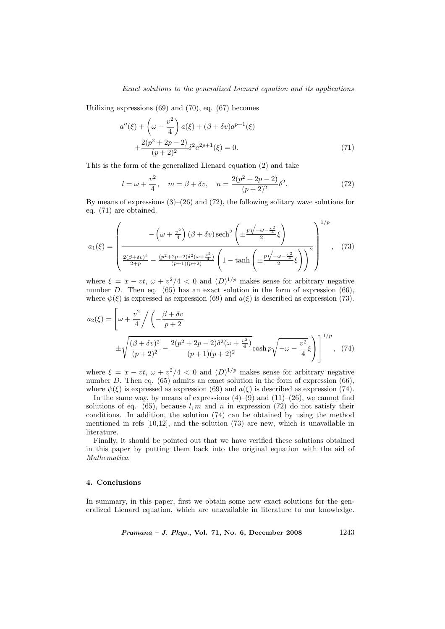Utilizing expressions (69) and (70), eq. (67) becomes

$$
a''(\xi) + \left(\omega + \frac{v^2}{4}\right) a(\xi) + (\beta + \delta v) a^{p+1}(\xi) + \frac{2(p^2 + 2p - 2)}{(p+2)^2} \delta^2 a^{2p+1}(\xi) = 0.
$$
 (71)

This is the form of the generalized Lienard equation (2) and take

$$
l = \omega + \frac{v^2}{4}, \quad m = \beta + \delta v, \quad n = \frac{2(p^2 + 2p - 2)}{(p + 2)^2} \delta^2.
$$
 (72)

By means of expressions  $(3)$ – $(26)$  and  $(72)$ , the following solitary wave solutions for eq. (71) are obtained.

$$
a_1(\xi) = \left(\frac{-\left(\omega + \frac{v^2}{4}\right)(\beta + \delta v)\operatorname{sech}^2\left(\pm\frac{p\sqrt{-\omega - \frac{v^2}{4}}}{2}\xi\right)}{\frac{2(\beta + \delta v)^2}{2 + p} - \frac{(p^2 + 2p - 2)\delta^2(\omega + \frac{v^2}{4})}{(p+1)(p+2)}\left(1 - \tanh\left(\pm\frac{p\sqrt{-\omega - \frac{v^2}{4}}}{2}\xi\right)\right)^2}\right)^{1/p}, \quad (73)
$$

where  $\xi = x - vt$ ,  $\omega + v^2/4 < 0$  and  $(D)^{1/p}$  makes sense for arbitrary negative number D. Then eq.  $(65)$  has an exact solution in the form of expression  $(66)$ , where  $\psi(\xi)$  is expressed as expression (69) and  $a(\xi)$  is described as expression (73).

$$
a_2(\xi) = \left[ \omega + \frac{v^2}{4} \right/ \left( -\frac{\beta + \delta v}{p + 2} \right)
$$
  
 
$$
\pm \sqrt{\frac{(\beta + \delta v)^2}{(p + 2)^2} - \frac{2(p^2 + 2p - 2)\delta^2(\omega + \frac{v^2}{4})}{(p + 1)(p + 2)^2}} \cosh p \sqrt{-\omega - \frac{v^2}{4}} \xi \right) \Big]^{1/p}, \quad (74)
$$

where  $\xi = x - vt$ ,  $\omega + v^2/4 < 0$  and  $(D)^{1/p}$  makes sense for arbitrary negative number D. Then eq.  $(65)$  admits an exact solution in the form of expression  $(66)$ , where  $\psi(\xi)$  is expressed as expression (69) and  $a(\xi)$  is described as expression (74).

In the same way, by means of expressions  $(4)$ – $(9)$  and  $(11)$ – $(26)$ , we cannot find solutions of eq. (65), because l, m and n in expression (72) do not satisfy their conditions. In addition, the solution (74) can be obtained by using the method mentioned in refs  $[10,12]$ , and the solution  $(73)$  are new, which is unavailable in literature.

Finally, it should be pointed out that we have verified these solutions obtained in this paper by putting them back into the original equation with the aid of Mathematica.

## 4. Conclusions

In summary, in this paper, first we obtain some new exact solutions for the generalized Lienard equation, which are unavailable in literature to our knowledge.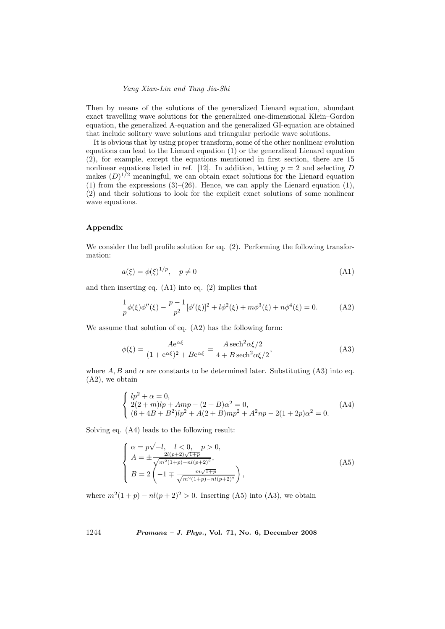Then by means of the solutions of the generalized Lienard equation, abundant exact travelling wave solutions for the generalized one-dimensional Klein–Gordon equation, the generalized A-equation and the generalized GI-equation are obtained that include solitary wave solutions and triangular periodic wave solutions.

It is obvious that by using proper transform, some of the other nonlinear evolution equations can lead to the Lienard equation (1) or the generalized Lienard equation (2), for example, except the equations mentioned in first section, there are 15 nonlinear equations listed in ref. [12]. In addition, letting  $p = 2$  and selecting D makes  $(D)^{1/2}$  meaningful, we can obtain exact solutions for the Lienard equation (1) from the expressions  $(3)$ – $(26)$ . Hence, we can apply the Lienard equation  $(1)$ , (2) and their solutions to look for the explicit exact solutions of some nonlinear wave equations.

# Appendix

We consider the bell profile solution for eq.  $(2)$ . Performing the following transformation:

$$
a(\xi) = \phi(\xi)^{1/p}, \quad p \neq 0 \tag{A1}
$$

and then inserting eq. (A1) into eq. (2) implies that

$$
\frac{1}{p}\phi(\xi)\phi''(\xi) - \frac{p-1}{p^2}[\phi'(\xi)]^2 + l\phi^2(\xi) + m\phi^3(\xi) + n\phi^4(\xi) = 0.
$$
 (A2)

We assume that solution of eq. (A2) has the following form:

$$
\phi(\xi) = \frac{Ae^{\alpha\xi}}{(1 + e^{\alpha\xi})^2 + Be^{\alpha\xi}} = \frac{A \operatorname{sech}^2 \alpha\xi/2}{4 + B \operatorname{sech}^2 \alpha\xi/2},\tag{A3}
$$

where  $A, B$  and  $\alpha$  are constants to be determined later. Substituting (A3) into eq. (A2), we obtain

$$
\begin{cases}\nlp^2 + \alpha = 0, \\
2(2+m)lp + Amp - (2+B)\alpha^2 = 0, \\
(6+4B+B^2)lp^2 + A(2+B)mp^2 + A^2np - 2(1+2p)\alpha^2 = 0.\n\end{cases}
$$
\n(A4)

Solving eq. (A4) leads to the following result:

$$
\begin{cases}\n\alpha = p\sqrt{-l}, \quad l < 0, \quad p > 0, \\
A = \pm \frac{2l(p+2)\sqrt{1+p}}{\sqrt{m^2(1+p) - nl(p+2)^2}}, \\
B = 2\left(-1 \mp \frac{m\sqrt{1+p}}{\sqrt{m^2(1+p) - nl(p+2)^2}}\right),\n\end{cases} \tag{A5}
$$

where  $m^2(1+p) - n l (p+2)^2 > 0$ . Inserting (A5) into (A3), we obtain